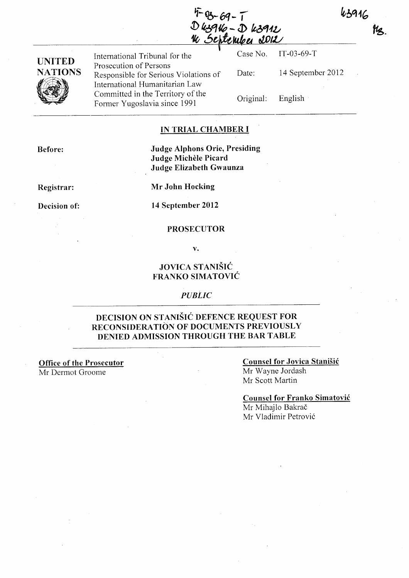43916

**tha** 

 $4-69-7$ <br>D k39kg - D k3912 September 2012

International Tribunal for the Case No. IT-03-69-T

**UNITED NATIONS**  UNITED<br>NATIONS<br>VIEW Prosecution of Persons Responsible for Serious Violations of International Humanitarian Law Committed in the Territory of the Former Yugoslavia since 1991

Date: 14 September 2012 Original: English

### **IN TRIAL CHAMBER I**

**Before:** 

**Judge Alphons Orie, Presiding Judge MicheIe Picard Judge Elizabeth Gwaunza** 

**Registrar:** 

**Decision of:** 

**Mr John Hocking** 

**14 September 2012** 

#### **PROSECUTOR**

**v.** 

### **JOVICA STANISIC FRANKO SIMA TOVIC**

#### *PUBLIC*

### **DECISION ON STANISIC DEFENCE REQUEST FOR RECONSIDERATION OF DOCUMENTS PREVIOUSLY DENIED ADMISSION THROUGH THE BAR TABLE**

**Office of the Prosecutor**  Mr Dermot Groome

### **Counsel for Jovica Stanisic**  Mr Wayne lordash Mr Scott Martin

### **Counsel for Franko Simatovic**

Mr Mihajlo Bakrač Mr Vladimir Petrovi6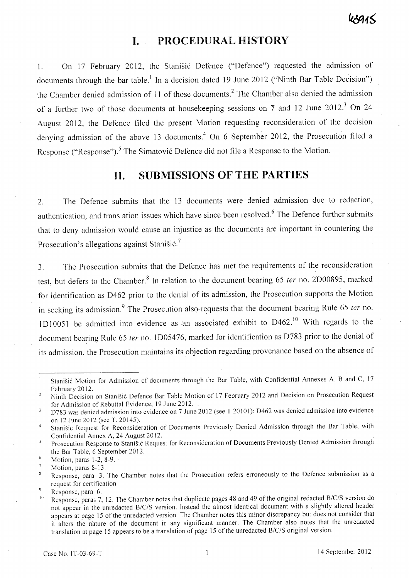## **I. PROCEDURAL HISTORY**

1. On 17 February 2012, the Stanišić Defence ("Defence") requested the admission of documents through the bar table.<sup>1</sup> In a decision dated 19 June 2012 ("Ninth Bar Table Decision") the Chamber denied admission of 11 of those documents? The Chamber also denied the admission of a further two of those documents at housekeeping sessions on 7 and 12 June 2012.<sup>3</sup> On 24 August 2012, the Defence filed the present Motion requesting reconsideration of the decision denying admission of the above 13 documents.<sup>4</sup> On 6 September 2012, the Prosecution filed a Response ("Response").<sup>5</sup> The Simatović Defence did not file a Response to the Motion.

## **II. SUBMISSIONS OF THE PARTIES**

2. The Defence submits that the 13 documents were denied admission due to redaction, authentication, and translation issues which have since been resolved. 6 The Defence further submits that to deny admission would cause an injustice as the documents are important in countering the Prosecution's allegations against Stanistic.<sup>7</sup>

3. The Prosecution submits that the Defence has met the requirements of the reconsideration test, but defers to the Chamber.<sup>8</sup> In relation to the document bearing 65 *ter* no. 2D00895, marked for identification as D462 prior to the denial of its admission, the Prosecution supports the Motion in seeking its admission.<sup>9</sup> The Prosecution also-requests that the document bearing Rule 65 ter no. 1 D10051 be admitted into evidence as an associated exhibit to  $D462$ .<sup>10</sup> With regards to the document bearing Rule 65 ter no. 1D05476, marked for identification as D783 prior to the denial of its admission, the Prosecution maintains its objection regarding provenance based on the absence of

Stanišić Motion for Admission of documents through the Bar Table, with Confidential Annexes A, B and C, 17  $\mathbf{I}$ February 2012.

Ninth Decision on Stanišić Defence Bar Table Motion of 17 February 2012 and Decision on Prosecution Request  $\overline{2}$ for Admission of Rebuttal Evidence, 19 June 2012.

<sup>0783</sup> was denied admission into evidence on 7 June 2012 (see T.20101); 0462 was denied admission into evidence  $\overline{3}$ on 12 June 2012 (see T. 20145).

Stanisic Request for Reconsideration of Documents Previously Denied Admission through. the Bar Table, with  $\overline{4}$ Confidential Annex A, 24 August 2012. .

Prosecution Response to Stanišić Request for Reconsideration of Documents Previously Denied Admission through 5 the Bar Table, 6 September 2012.

 $\mathbf 6$ Motion, paras 1-2, 8-9.

Motion, paras 8-13.

Response, para. 3. The Chamber notes that the Prosecution refers erroneously to the Defence submission as a  $\, 8$ request for certification.

Response, para. 6.

<sup>&</sup>lt;sup>10</sup> Response, paras 7, 12. The Chamber notes that duplicate pages 48 and 49 of the original redacted B/C/S version do not appear in the unredacted B/C/S version. Instead the almost identical document with a slightly altered header appears at page 15 of the unredacted version. The Chamber notes this minor discrepancy but does not consider that it alters the nature of the document in any significant manner. The Chamber also notes that the unredacted translation at page 15 appears to be a translation of page 15 of the unredacted B/C/S original version.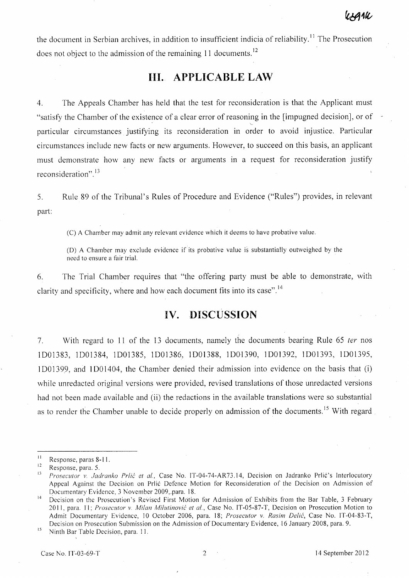the document in Serbian archives, in addition to insufficient indicia of reliability.<sup>11</sup> The Prosecution does not object to the admission of the remaining 11 documents.<sup>12</sup>

# **Ill. APPLICABLE LAW**

4. The Appeals Chamber has held that the test for reconsideration is that the Applicant must "satisfy the Chamber of the existence of a clear error of reasoning in the [impugned decision], or of particular circumstances justifying its reconsideration in order to avoid injustice. Particular circumstances include new facts or new arguments. However, to succeed on this basis, an applicant must demonstrate how any new facts or arguments in a request for reconsideration justify reconsideration".<sup>13</sup>

5. Rule 89 of the Tribunal's Rules of Procedure and Evidence ("Rules") provides, in relevant part:

(C) A Chamber may admit any relevant evidence which it deems to have probative value.

(D) A Chamber may exclude evidence if its probative value is substantially outweighed by the need to ensure a fair trial.

6. The Trial Chamber requires that "the offering party must be able to demonstrate, with clarity and specificity, where and how each document fits into its case".<sup>14</sup>

## **IV. DISCUSSION**

7. With regard to 11 of the 13 documents, namely the documents bearing Rule 65 ter nos 1001383, 1001384, 1001385, 1001386, 1001388, 1001390, 1001392, 1001393, 1001395, 1001399, and 1001404, the Chamber denied their admission into evidence on the basis that (i) while unredacted original versions were provided, revised translations of those unredacted versions had not been made available and (ii) the redactions in the available translations were so substantial as to render the Chamber unable to decide properly on admission of the documents.<sup>15</sup> With regard.

<sup>15</sup> Ninth Bar Table Decision, para. 11.

<sup>&</sup>lt;sup>11</sup> Response, paras 8-11.

 $\frac{12}{13}$  Response, para. 5.

<sup>13</sup>*Prosecutor v. ladranko Prfic et aI.,* Case No. IT-04-74-AR73.14, Decision on Jadranko Prli6's Interlocutory Appeal Against the Decision on Prli6 Defence Motion for Reconsideration of the Decision on Admission of Documentary Evidence, 3 November 2009,\_para. IS.

Decision on the Prosecution's Revised First Motion for Admission of Exhibits from the Bar Table, 3 February 2011, para. 11; *Prosecutor v. Milan Milutinovic et al.,* Case No. IT-05-S7-T, Decision on Prosecution Motion to Admit Documentary Evidence, 10 October 2006, para. IS; *Prosecutor v. Rasim Delic,* Case No. IT-04-S3-T, Decision on Prosecution Submission on the Admission of Documentary Evidence, 16 January 200S, para. 9.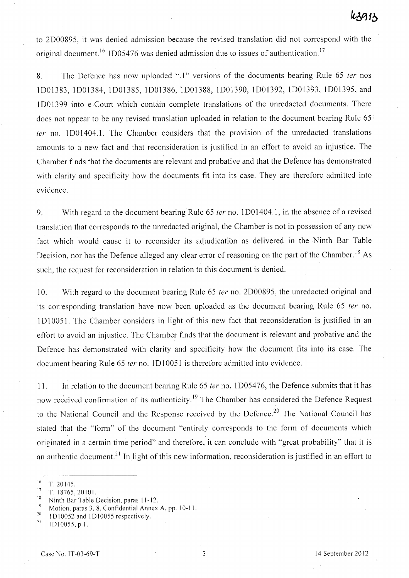to 2000895, it was denied admission because the revised translation did not correspond with the original document.<sup>16</sup> 1D05476 was denied admission due to issues of authentication.<sup>17</sup>

8. The Defence has now uploaded ".1" versions of the documents bearing Rule 65 ter nos 1001383, 1001384, 1001385, 1001386,1001388, 1001390, 1001392, 1001393,1001395, and 1 DO 1399 into e-Court which contain complete translations of the unredacted documents. There does not appear to be any revised translation uploaded in relation to the document bearing Rule 65  $\frac{1}{2}$ fer no. 1 DO 1404.1. The Chamber considers that the provision of the unredacted translations amounts to a new fact and that reconsideration is justified in an effort to avoid an injustice. The Chamber finds that the documents are relevant and probative and that the Defence has demonstrated with clarity and specificity how the documents fit into its case. They are therefore admitted into evidence.

9. With regard to the document bearing Rule 65 fer no. 1 DO 1404.1, in the absence of a revised translation that corresponds to the unredacted original, the Chamber is not in possession of any new fact which would cause it to reconsider its adjudication as delivered in the Ninth Bar Table Decision, nor has the Defence alleged any clear error of reasoning on the part of the Chamber.<sup>18</sup> As such, the request for reconsideration in relation to this document is denied.

10. With regard to the document bearing Rule 65 *ter* no. 2D00895, the unredacted original and its corresponding translation have now been uploaded as the document bearing Rule 65 ter no. 1010051. The Chamber considers in light of this new fact that reconsideration is justified in an effort to avoid an injustice. The Chamber finds that the document is relevant and probative and the Defence has demonstrated with clarity and specificity how the document fits into its case. The document bearing Rule 65 ter no. 1D10051 is therefore admitted into evidence.

11. In relation to the document bearing Rule 65 *ter* no. 1D05476, the Defence submits that it has now received confirmation of its authenticity.<sup>19</sup> The Chamber has considered the Defence Request to the National Council and the Response received by the Defence.<sup>20</sup> The National Council has stated that the "form" of the document "entirely corresponds to the form of documents which originated in a certain time period" and therefore, it can conclude with "great probability" that it is an authentic document.<sup>21</sup> In light of this new information, reconsideration is justified in an effort to

<sup>18</sup> Ninth Bar Table Decision, paras  $11-12$ .

 $^{16}$  T. 20145.

<sup>&</sup>lt;sup>17</sup> T. 18765, 20101.

<sup>&</sup>lt;sup>19</sup> Motion, paras 3, 8, Confidential Annex A, pp. 10-11.<br><sup>20</sup> 1D10052 and 1D10055 recnectively.

<sup>&</sup>lt;sup>20</sup> 1D10052 and 1D10055 respectively.<br><sup>21</sup> 1D10055 n 1

<sup>21 1010055,</sup> p,l,